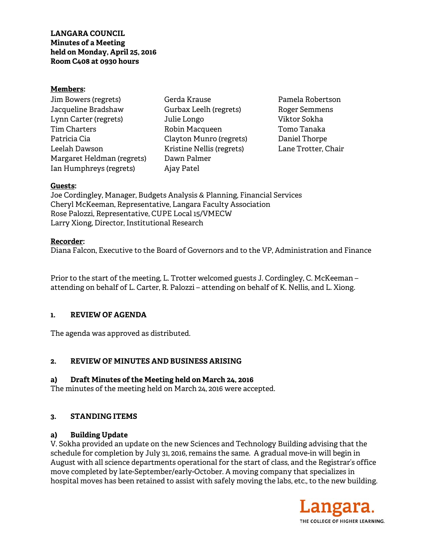#### **Members:**

| Jim Bowers (regrets)       | Gero  |
|----------------------------|-------|
| Jacqueline Bradshaw        | Gurl  |
| Lynn Carter (regrets)      | Julie |
| <b>Tim Charters</b>        | Robi  |
| Patricia Cia               | Clay  |
| Leelah Dawson              | Kris  |
| Margaret Heldman (regrets) | Daw   |
| Ian Humphreys (regrets)    | Ajay  |

la Krause bax Leelh (regrets) e Longo in Macqueen ton Munro (regrets) tine Nellis (regrets) n Palmer jay Patel

Pamela Robertson Roger Semmens Viktor Sokha Tomo Tanaka Daniel Thorpe Lane Trotter, Chair

### **Guests:**

Joe Cordingley, Manager, Budgets Analysis & Planning, Financial Services Cheryl McKeeman, Representative, Langara Faculty Association Rose Palozzi, Representative, CUPE Local 15/VMECW Larry Xiong, Director, Institutional Research

### **Recorder:**

Diana Falcon, Executive to the Board of Governors and to the VP, Administration and Finance

Prior to the start of the meeting, L. Trotter welcomed guests J. Cordingley, C. McKeeman – attending on behalf of L. Carter, R. Palozzi – attending on behalf of K. Nellis, and L. Xiong.

## **1. REVIEW OF AGENDA**

The agenda was approved as distributed.

## **2. REVIEW OF MINUTES AND BUSINESS ARISING**

## **a) Draft Minutes of the Meeting held on March 24, 2016**

The minutes of the meeting held on March 24, 2016 were accepted.

## **3. STANDING ITEMS**

## **a) Building Update**

V. Sokha provided an update on the new Sciences and Technology Building advising that the schedule for completion by July 31, 2016, remains the same. A gradual move-in will begin in August with all science departments operational for the start of class, and the Registrar's office move completed by late-September/early-October. A moving company that specializes in hospital moves has been retained to assist with safely moving the labs, etc., to the new building.

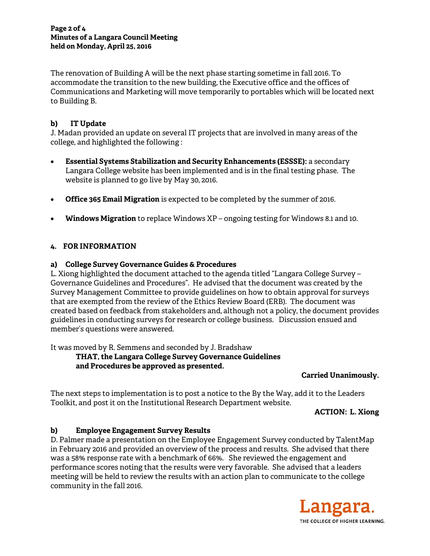#### **Page 2 of 4 Minutes of a Langara Council Meeting held on Monday, April 25, 2016**

The renovation of Building A will be the next phase starting sometime in fall 2016. To accommodate the transition to the new building, the Executive office and the offices of Communications and Marketing will move temporarily to portables which will be located next to Building B.

# **b) IT Update**

J. Madan provided an update on several IT projects that are involved in many areas of the college, and highlighted the following :

- **Essential Systems Stabilization and Security Enhancements (ESSSE):** a secondary Langara College website has been implemented and is in the final testing phase. The website is planned to go live by May 30, 2016.
- **Office 365 Email Migration** is expected to be completed by the summer of 2016.
- **Windows Migration** to replace Windows XP ongoing testing for Windows 8.1 and 10.

## **4. FOR INFORMATION**

## **a) College Survey Governance Guides & Procedures**

L. Xiong highlighted the document attached to the agenda titled "Langara College Survey – Governance Guidelines and Procedures". He advised that the document was created by the Survey Management Committee to provide guidelines on how to obtain approval for surveys that are exempted from the review of the Ethics Review Board (ERB). The document was created based on feedback from stakeholders and, although not a policy, the document provides guidelines in conducting surveys for research or college business. Discussion ensued and member's questions were answered.

It was moved by R. Semmens and seconded by J. Bradshaw

 **THAT, the Langara College Survey Governance Guidelines and Procedures be approved as presented.** 

**Carried Unanimously.** 

The next steps to implementation is to post a notice to the By the Way, add it to the Leaders Toolkit, and post it on the Institutional Research Department website.

**ACTION: L. Xiong** 

## **b) Employee Engagement Survey Results**

D. Palmer made a presentation on the Employee Engagement Survey conducted by TalentMap in February 2016 and provided an overview of the process and results. She advised that there was a 58% response rate with a benchmark of 66%. She reviewed the engagement and performance scores noting that the results were very favorable. She advised that a leaders meeting will be held to review the results with an action plan to communicate to the college community in the fall 2016.

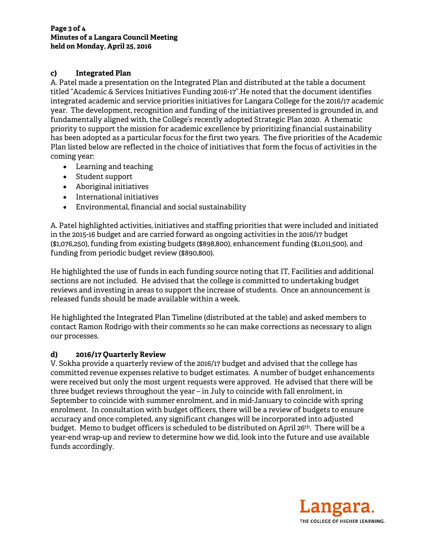# **c) Integrated Plan**

A. Patel made a presentation on the Integrated Plan and distributed at the table a document titled "Academic & Services Initiatives Funding 2016-17".He noted that the document identifies integrated academic and service priorities initiatives for Langara College for the 2016/17 academic year. The development, recognition and funding of the initiatives presented is grounded in, and fundamentally aligned with, the College's recently adopted Strategic Plan 2020. A thematic priority to support the mission for academic excellence by prioritizing financial sustainability has been adopted as a particular focus for the first two years. The five priorities of the Academic Plan listed below are reflected in the choice of initiatives that form the focus of activities in the coming year:

- Learning and teaching
- Student support
- Aboriginal initiatives
- International initiatives
- Environmental, financial and social sustainability

A. Patel highlighted activities, initiatives and staffing priorities that were included and initiated in the 2015-16 budget and are carried forward as ongoing activities in the 2016/17 budget (\$1,076,250), funding from existing budgets (\$898,800), enhancement funding (\$1,011,500), and funding from periodic budget review (\$890,800).

He highlighted the use of funds in each funding source noting that IT, Facilities and additional sections are not included. He advised that the college is committed to undertaking budget reviews and investing in areas to support the increase of students. Once an announcement is released funds should be made available within a week.

He highlighted the Integrated Plan Timeline (distributed at the table) and asked members to contact Ramon Rodrigo with their comments so he can make corrections as necessary to align our processes.

## **d) 2016/17 Quarterly Review**

V. Sokha provide a quarterly review of the 2016/17 budget and advised that the college has committed revenue expenses relative to budget estimates. A number of budget enhancements were received but only the most urgent requests were approved. He advised that there will be three budget reviews throughout the year – in July to coincide with fall enrolment, in September to coincide with summer enrolment, and in mid-January to coincide with spring enrolment. In consultation with budget officers, there will be a review of budgets to ensure accuracy and once completed, any significant changes will be incorporated into adjusted budget. Memo to budget officers is scheduled to be distributed on April 26<sup>th</sup>. There will be a year-end wrap-up and review to determine how we did, look into the future and use available funds accordingly.